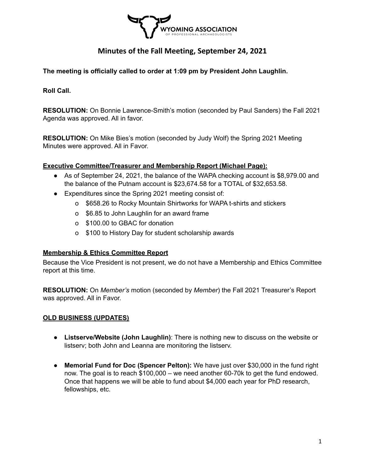

**The meeting is officially called to order at 1:09 pm by President John Laughlin.**

**Roll Call.**

**RESOLUTION:** On Bonnie Lawrence-Smith's motion (seconded by Paul Sanders) the Fall 2021 Agenda was approved. All in favor.

**RESOLUTION:** On Mike Bies's motion (seconded by Judy Wolf) the Spring 2021 Meeting Minutes were approved. All in Favor.

#### **Executive Committee/Treasurer and Membership Report (Michael Page):**

- As of September 24, 2021, the balance of the WAPA checking account is \$8,979.00 and the balance of the Putnam account is \$23,674.58 for a TOTAL of \$32,653.58.
- Expenditures since the Spring 2021 meeting consist of:
	- o \$658.26 to Rocky Mountain Shirtworks for WAPA t-shirts and stickers
	- o \$6.85 to John Laughlin for an award frame
	- o \$100.00 to GBAC for donation
	- o \$100 to History Day for student scholarship awards

#### **Membership & Ethics Committee Report**

Because the Vice President is not present, we do not have a Membership and Ethics Committee report at this time.

**RESOLUTION:** On *Member's* motion (seconded by *Member*) the Fall 2021 Treasurer's Report was approved. All in Favor.

#### **OLD BUSINESS (UPDATES)**

- **● Listserve/Website (John Laughlin)**: There is nothing new to discuss on the website or listserv; both John and Leanna are monitoring the listserv.
- **● Memorial Fund for Doc (Spencer Pelton):** We have just over \$30,000 in the fund right now. The goal is to reach \$100,000 – we need another 60-70k to get the fund endowed. Once that happens we will be able to fund about \$4,000 each year for PhD research, fellowships, etc.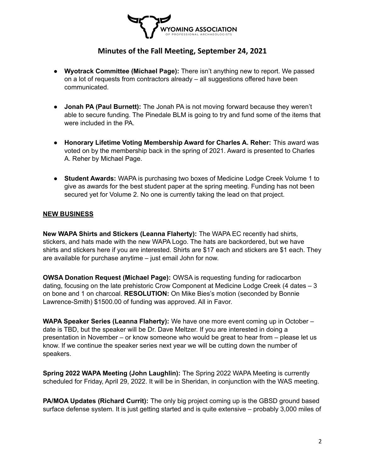

- **● Wyotrack Committee (Michael Page):** There isn't anything new to report. We passed on a lot of requests from contractors already – all suggestions offered have been communicated.
- **Jonah PA (Paul Burnett):** The Jonah PA is not moving forward because they weren't able to secure funding. The Pinedale BLM is going to try and fund some of the items that were included in the PA
- **Honorary Lifetime Voting Membership Award for Charles A. Reher:** This award was voted on by the membership back in the spring of 2021. Award is presented to Charles A. Reher by Michael Page.
- **Student Awards:** WAPA is purchasing two boxes of Medicine Lodge Creek Volume 1 to give as awards for the best student paper at the spring meeting. Funding has not been secured yet for Volume 2. No one is currently taking the lead on that project.

#### **NEW BUSINESS**

**New WAPA Shirts and Stickers (Leanna Flaherty):** The WAPA EC recently had shirts, stickers, and hats made with the new WAPA Logo. The hats are backordered, but we have shirts and stickers here if you are interested. Shirts are \$17 each and stickers are \$1 each. They are available for purchase anytime – just email John for now.

**OWSA Donation Request (Michael Page):** OWSA is requesting funding for radiocarbon dating, focusing on the late prehistoric Crow Component at Medicine Lodge Creek (4 dates – 3 on bone and 1 on charcoal. **RESOLUTION:** On Mike Bies's motion (seconded by Bonnie Lawrence-Smith) \$1500.00 of funding was approved. All in Favor.

**WAPA Speaker Series (Leanna Flaherty):** We have one more event coming up in October – date is TBD, but the speaker will be Dr. Dave Meltzer. If you are interested in doing a presentation in November – or know someone who would be great to hear from – please let us know. If we continue the speaker series next year we will be cutting down the number of speakers.

**Spring 2022 WAPA Meeting (John Laughlin):** The Spring 2022 WAPA Meeting is currently scheduled for Friday, April 29, 2022. It will be in Sheridan, in conjunction with the WAS meeting.

**PA/MOA Updates (Richard Currit):** The only big project coming up is the GBSD ground based surface defense system. It is just getting started and is quite extensive – probably 3,000 miles of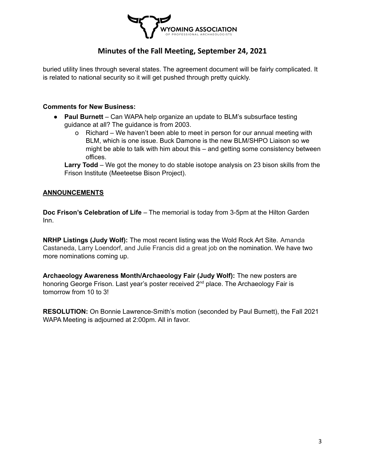

buried utility lines through several states. The agreement document will be fairly complicated. It is related to national security so it will get pushed through pretty quickly.

#### **Comments for New Business:**

- **Paul Burnett** Can WAPA help organize an update to BLM's subsurface testing guidance at all? The guidance is from 2003.
	- o Richard We haven't been able to meet in person for our annual meeting with BLM, which is one issue. Buck Damone is the new BLM/SHPO Liaison so we might be able to talk with him about this – and getting some consistency between offices.

**Larry Todd** – We got the money to do stable isotope analysis on 23 bison skills from the Frison Institute (Meeteetse Bison Project).

#### **ANNOUNCEMENTS**

**Doc Frison's Celebration of Life** – The memorial is today from 3-5pm at the Hilton Garden Inn.

**NRHP Listings (Judy Wolf):** The most recent listing was the Wold Rock Art Site. Amanda Castaneda, Larry Loendorf, and Julie Francis did a great job on the nomination. We have two more nominations coming up.

**Archaeology Awareness Month/Archaeology Fair (Judy Wolf):** The new posters are honoring George Frison. Last year's poster received 2<sup>nd</sup> place. The Archaeology Fair is tomorrow from 10 to 3!

**RESOLUTION:** On Bonnie Lawrence-Smith's motion (seconded by Paul Burnett), the Fall 2021 WAPA Meeting is adjourned at 2:00pm. All in favor.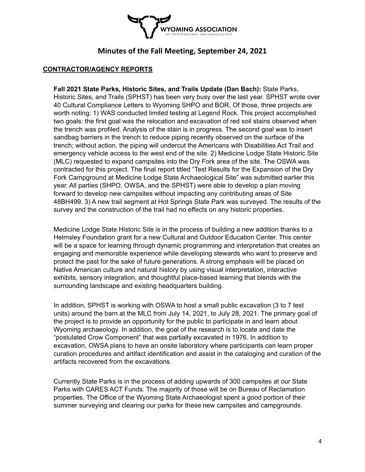

#### **CONTRACTOR/AGENCY REPORTS**

**Fall 2021 State Parks, Historic Sites, and Trails Update (Dan Bach):** State Parks, Historic Sites, and Trails (SPHST) has been very busy over the last year. SPHST wrote over 40 Cultural Compliance Letters to Wyoming SHPO and BOR. Of those, three projects are worth noting: 1) WAS conducted limited testing at Legend Rock. This project accomplished two goals: the first goal was the relocation and excavation of red soil stains observed when the trench was profiled. Analysis of the stain is in progress. The second goal was to insert sandbag barriers in the trench to reduce piping recently observed on the surface of the trench; without action, the piping will undercut the Americans with Disabilities Act Trail and emergency vehicle access to the west end of the site. 2) Medicine Lodge State Historic Site (MLC) requested to expand campsites into the Dry Fork area of the site. The OSWA was contracted for this project. The final report titled "Test Results for the Expansion of the Dry Fork Campground at Medicine Lodge State Archaeological Site" was submitted earlier this year. All parties (SHPO, OWSA, and the SPHST) were able to develop a plan moving forward to develop new campsites without impacting any contributing areas of Site 48BH499. 3) A new trail segment at Hot Springs State Park was surveyed. The results of the survey and the construction of the trail had no effects on any historic properties.

Medicine Lodge State Historic Site is in the process of building a new addition thanks to a Helmsley Foundation grant for a new Cultural and Outdoor Education Center. This center will be a space for learning through dynamic programming and interpretation that creates an engaging and memorable experience while developing stewards who want to preserve and protect the past for the sake of future generations. A strong emphasis will be placed on Native American culture and natural history by using visual interpretation, interactive exhibits, sensory integration, and thoughtful place-based learning that blends with the surrounding landscape and existing headquarters building.

In addition, SPHST is working with OSWA to host a small public excavation (3 to 7 test units) around the barn at the MLC from July 14, 2021, to July 28, 2021. The primary goal of the project is to provide an opportunity for the public to participate in and learn about Wyoming archaeology. In addition, the goal of the research is to locate and date the "postulated Crow Component" that was partially excavated in 1976. In addition to excavation, OWSA plans to have an onsite laboratory where participants can learn proper curation procedures and artifact identification and assist in the cataloging and curation of the artifacts recovered from the excavations.

Currently State Parks is in the process of adding upwards of 300 campsites at our State Parks with CARES ACT Funds. The majority of those will be on Bureau of Reclamation properties. The Office of the Wyoming State Archaeologist spent a good portion of their summer surveying and clearing our parks for these new campsites and campgrounds.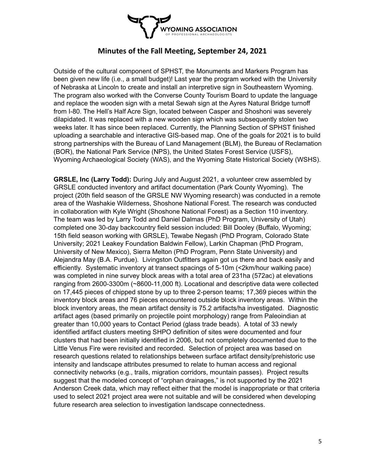

Outside of the cultural component of SPHST, the Monuments and Markers Program has been given new life (i.e., a small budget)! Last year the program worked with the University of Nebraska at Lincoln to create and install an interpretive sign in Southeastern Wyoming. The program also worked with the Converse County Tourism Board to update the language and replace the wooden sign with a metal Sewah sign at the Ayres Natural Bridge turnoff from I-80. The Hell's Half Acre Sign, located between Casper and Shoshoni was severely dilapidated. It was replaced with a new wooden sign which was subsequently stolen two weeks later. It has since been replaced. Currently, the Planning Section of SPHST finished uploading a searchable and interactive GIS-based map. One of the goals for 2021 is to build strong partnerships with the Bureau of Land Management (BLM), the Bureau of Reclamation (BOR), the National Park Service (NPS), the United States Forest Service (USFS), Wyoming Archaeological Society (WAS), and the Wyoming State Historical Society (WSHS).

**GRSLE, Inc (Larry Todd):** During July and August 2021, a volunteer crew assembled by GRSLE conducted inventory and artifact documentation (Park County Wyoming). The project (20th field season of the GRSLE NW Wyoming research) was conducted in a remote area of the Washakie Wilderness, Shoshone National Forest. The research was conducted in collaboration with Kyle Wright (Shoshone National Forest) as a Section 110 inventory. The team was led by Larry Todd and Daniel Dalmas (PhD Program, University of Utah) completed one 30-day backcountry field session included: Bill Dooley (Buffalo, Wyoming; 15th field season working with GRSLE), Tewabe Negash (PhD Program, Colorado State University; 2021 Leakey Foundation Baldwin Fellow), Larkin Chapman (PhD Program, University of New Mexico), Sierra Melton (PhD Program, Penn State University) and Alejandra May (B.A. Purdue). Livingston Outfitters again got us there and back easily and efficiently. Systematic inventory at transect spacings of 5-10m (<2km/hour walking pace) was completed in nine survey block areas with a total area of 231ha (572ac) at elevations ranging from 2600-3300m (~8600-11,000 ft). Locational and descriptive data were collected on 17,445 pieces of chipped stone by up to three 2-person teams; 17,369 pieces within the inventory block areas and 76 pieces encountered outside block inventory areas. Within the block inventory areas, the mean artifact density is 75.2 artifacts/ha investigated. Diagnostic artifact ages (based primarily on projectile point morphology) range from Paleoindian at greater than 10,000 years to Contact Period (glass trade beads). A total of 33 newly identified artifact clusters meeting SHPO definition of sites were documented and four clusters that had been initially identified in 2006, but not completely documented due to the Little Venus Fire were revisited and recorded. Selection of project area was based on research questions related to relationships between surface artifact density/prehistoric use intensity and landscape attributes presumed to relate to human access and regional connectivity networks (e.g., trails, migration corridors, mountain passes). Project results suggest that the modeled concept of "orphan drainages," is not supported by the 2021 Anderson Creek data, which may reflect either that the model is inappropriate or that criteria used to select 2021 project area were not suitable and will be considered when developing future research area selection to investigation landscape connectedness.